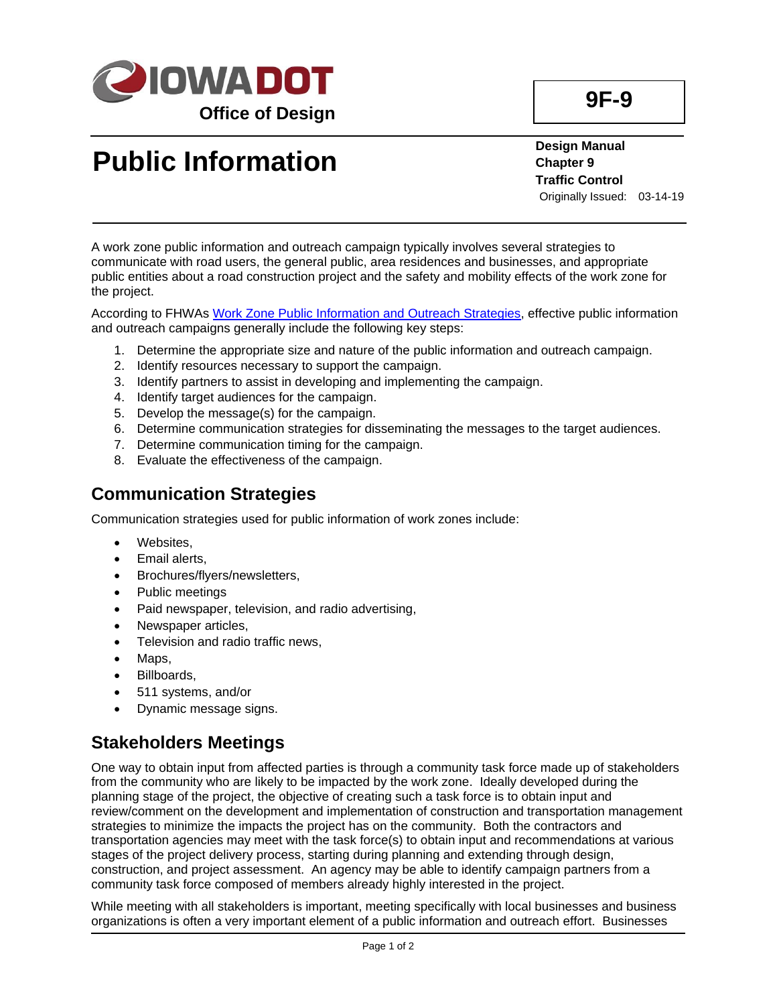

# **Public Information**

**Design Manual Chapter 9 Traffic Control** Originally Issued: 03-14-19

A work zone public information and outreach campaign typically involves several strategies to communicate with road users, the general public, area residences and businesses, and appropriate public entities about a road construction project and the safety and mobility effects of the work zone for the project.

According to FHWAs [Work Zone Public Information and Outreach Strategies,](https://ops.fhwa.dot.gov/wz/info_and_outreach/public_outreach_guide.pdf) effective public information and outreach campaigns generally include the following key steps:

- 1. Determine the appropriate size and nature of the public information and outreach campaign.
- 2. Identify resources necessary to support the campaign.
- 3. Identify partners to assist in developing and implementing the campaign.
- 4. Identify target audiences for the campaign.
- 5. Develop the message(s) for the campaign.
- 6. Determine communication strategies for disseminating the messages to the target audiences.
- 7. Determine communication timing for the campaign.
- 8. Evaluate the effectiveness of the campaign.

#### **Communication Strategies**

Communication strategies used for public information of work zones include:

- Websites,
- Email alerts,
- Brochures/flyers/newsletters,
- Public meetings
- Paid newspaper, television, and radio advertising,
- Newspaper articles,
- Television and radio traffic news,
- Maps,
- Billboards,
- 511 systems, and/or
- Dynamic message signs.

#### **Stakeholders Meetings**

One way to obtain input from affected parties is through a community task force made up of stakeholders from the community who are likely to be impacted by the work zone. Ideally developed during the planning stage of the project, the objective of creating such a task force is to obtain input and review/comment on the development and implementation of construction and transportation management strategies to minimize the impacts the project has on the community. Both the contractors and transportation agencies may meet with the task force(s) to obtain input and recommendations at various stages of the project delivery process, starting during planning and extending through design, construction, and project assessment. An agency may be able to identify campaign partners from a community task force composed of members already highly interested in the project.

While meeting with all stakeholders is important, meeting specifically with local businesses and business organizations is often a very important element of a public information and outreach effort. Businesses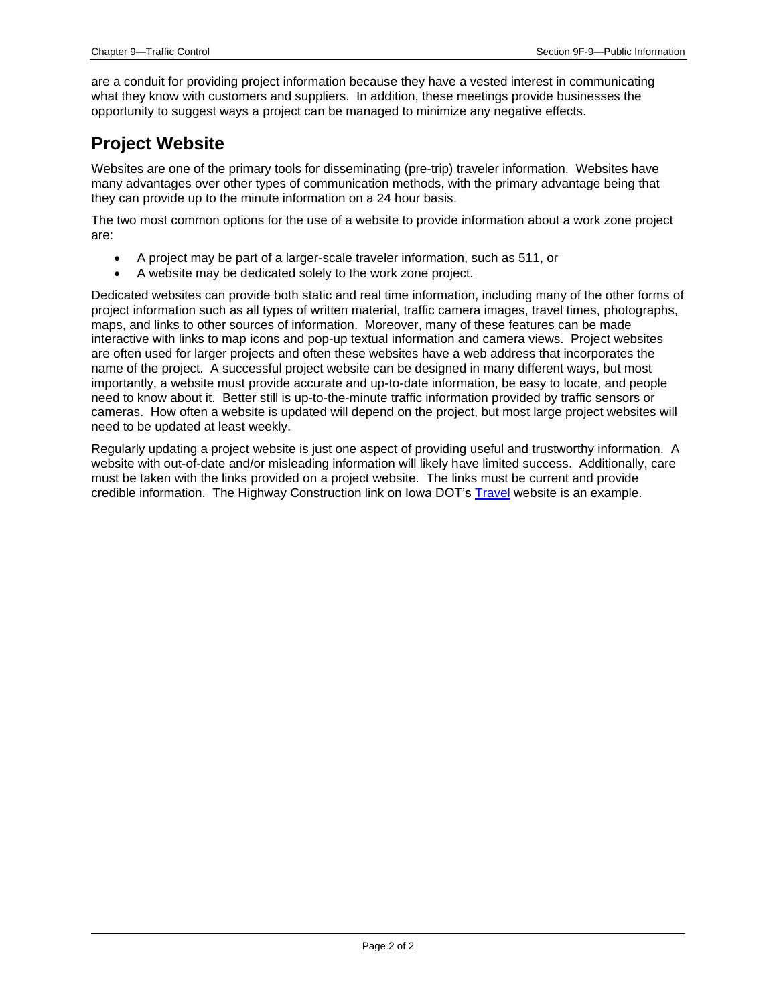are a conduit for providing project information because they have a vested interest in communicating what they know with customers and suppliers. In addition, these meetings provide businesses the opportunity to suggest ways a project can be managed to minimize any negative effects.

### **Project Website**

Websites are one of the primary tools for disseminating (pre-trip) traveler information. Websites have many advantages over other types of communication methods, with the primary advantage being that they can provide up to the minute information on a 24 hour basis.

The two most common options for the use of a website to provide information about a work zone project are:

- A project may be part of a larger-scale traveler information, such as 511, or
- A website may be dedicated solely to the work zone project.

Dedicated websites can provide both static and real time information, including many of the other forms of project information such as all types of written material, traffic camera images, travel times, photographs, maps, and links to other sources of information. Moreover, many of these features can be made interactive with links to map icons and pop-up textual information and camera views. Project websites are often used for larger projects and often these websites have a web address that incorporates the name of the project. A successful project website can be designed in many different ways, but most importantly, a website must provide accurate and up-to-date information, be easy to locate, and people need to know about it. Better still is up-to-the-minute traffic information provided by traffic sensors or cameras. How often a website is updated will depend on the project, but most large project websites will need to be updated at least weekly.

Regularly updating a project website is just one aspect of providing useful and trustworthy information. A website with out-of-date and/or misleading information will likely have limited success. Additionally, care must be taken with the links provided on a project website. The links must be current and provide credible information. The Highway Construction link on Iowa DOT's [Travel](../../travel#HighwayConstruction) website is an example.